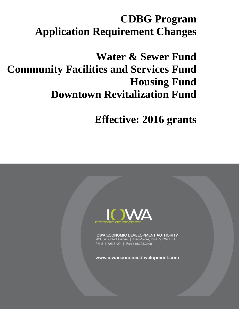# **CDBG Program Application Requirement Changes**

# **Water & Sewer Fund Community Facilities and Services Fund Housing Fund Downtown Revitalization Fund**

**Effective: 2016 grants**



**IOWA ECONOMIC DEVELOPMENT AUTHORITY** 200 East Grand Avenue | Des Moines, Iowa 50309 USA PH: 515.725.3100 | Fax: 515.725.3109

www.iowaeconomicdevelopment.com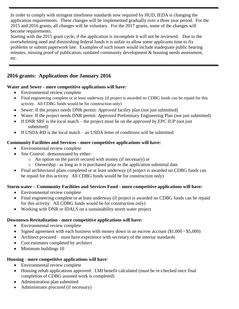In order to comply with stringent timeliness standards now required by HUD, IEDA is changing the application requirements. These changes will be implemented gradually over a three year period. For the 2015 and 2016 grants, all changes will be voluntary. For the 2017 grants, some of the changes will become requirements.

Starting with the 2015 grant cycle, if the application is incomplete it will not be reviewed. Due to the overwhelming need and diminishing federal funds it is unfair to allow some applicants time to fix problems or submit paperwork late. Examples of such issues would include inadequate public hearing minutes, missing proof of publication, outdated community development  $\&$  housing needs assessment, etc.

# **2016 grants: Applications due January 2016**

### **Water and Sewer - more competitive applications will have:**

- Environmental review complete
- Final engineering complete or at least underway (if project is awarded no CDBG funds can be repaid for this activity. All CDBG funds would be for construction only)
- Sewer: If the project needs DNR permit: *Approved* facility plan (not just submitted)
- Water: If the project needs DNR permit: *Approved* Preliminary Engineering Plan (not just submitted)
- If DNR SRF is the local match the project must be on the *approved by EPC IUP* (not just submitted)
- $\bullet$  If USDA-RD is the local match an USDA letter of conditions will be submitted

### **Community Facilities and Services - more competitive applications will have:**

- Environmental review complete
- Site Control: demonstrated by either:
	- o An option on the parcel secured with money (if necessary) or
	- o Ownership as long as it is purchased prior to the application submittal date
- Final architectural plans completed or at least underway (if project is awarded no CDBG funds can be repaid for this activity. All CDBG funds would be for construction only)

## **Storm water – Community Facilities and Services Fund - more competitive applications will have:**

- Environmental review complete
- Final engineering complete or at least underway (if project is awarded no CDBG funds can be repaid for this activity. All CDBG funds would be for construction only)
- Working with DNR or IDALS on a sustainability storm water project

## **Downtown Revitalization - more competitive applications will have:**

- Environmental review complete
- Signed agreement with each business with money down in an escrow account (\$1,000 \$5,000)
- Architect procured must have experience with secretary of the interior standards
- Cost estimates completed by architect
- Minimum buildings 10

## **Housing - more competitive applications will have**:

- Environmental review complete
- Housing rehab applications approved: LMI benefit calculated (must be re-checked once final completion of CDBG assisted work is completed)
- Administration plan submitted
- Administrator procured (if necessary)